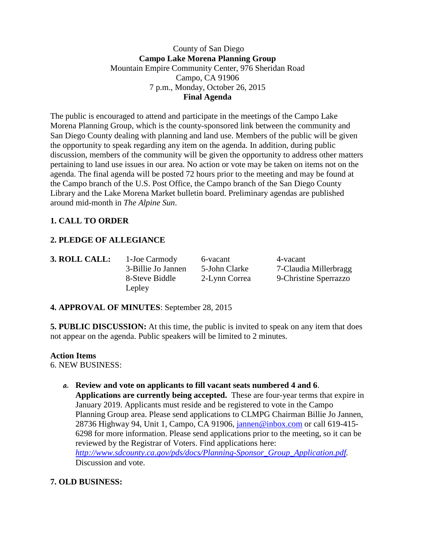#### County of San Diego **Campo Lake Morena Planning Group** Mountain Empire Community Center, 976 Sheridan Road Campo, CA 91906 7 p.m., Monday, October 26, 2015 **Final Agenda**

The public is encouraged to attend and participate in the meetings of the Campo Lake Morena Planning Group, which is the county-sponsored link between the community and San Diego County dealing with planning and land use. Members of the public will be given the opportunity to speak regarding any item on the agenda. In addition, during public discussion, members of the community will be given the opportunity to address other matters pertaining to land use issues in our area. No action or vote may be taken on items not on the agenda. The final agenda will be posted 72 hours prior to the meeting and may be found at the Campo branch of the U.S. Post Office, the Campo branch of the San Diego County Library and the Lake Morena Market bulletin board. Preliminary agendas are published around mid-month in *The Alpine Sun*.

# **1. CALL TO ORDER**

## **2. PLEDGE OF ALLEGIANCE**

Lepley

**3. ROLL CALL:** 1-Joe Carmody 6-vacant 4-vacant

3-Billie Jo Jannen 5-John Clarke 7-Claudia Millerbragg 8-Steve Biddle 2-Lynn Correa 9-Christine Sperrazzo

#### **4. APPROVAL OF MINUTES**: September 28, 2015

**5. PUBLIC DISCUSSION:** At this time, the public is invited to speak on any item that does not appear on the agenda. Public speakers will be limited to 2 minutes.

#### **Action Items**

6. NEW BUSINESS:

**a. Review and vote on applicants to fill vacant seats numbered 4 and 6**. **Applications are currently being accepted.** These are four-year terms that expire in January 2019. Applicants must reside and be registered to vote in the Campo Planning Group area. Please send applications to CLMPG Chairman Billie Jo Jannen, 28736 Highway 94, Unit 1, Campo, CA 91906, [jannen@inbox.com](mailto:campojoe@yahoo.com) or call 619-415-6298 for more information. Please send applications prior to the meeting, so it can be reviewed by the Registrar of Voters. Find applications here:

*[http://www.sdcounty.ca.gov/pds/docs/Planning-Sponsor\\_Group\\_Application.pdf.](http://www.sdcounty.ca.gov/pds/docs/Planning-Sponsor_Group_Application.pdf)*  Discussion and vote.

## **7. OLD BUSINESS:**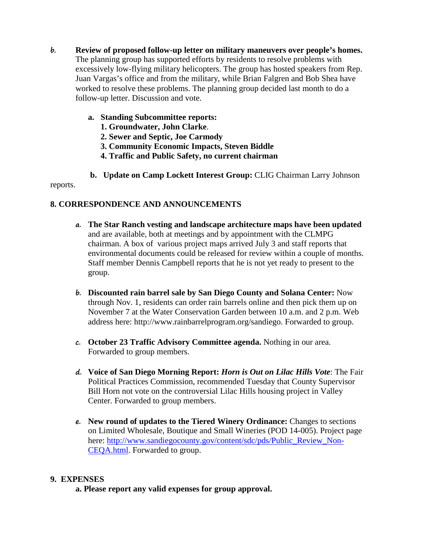- **b. Review of proposed follow-up letter on military maneuvers over people's homes.**  The planning group has supported efforts by residents to resolve problems with excessively low-flying military helicopters. The group has hosted speakers from Rep. Juan Vargas's office and from the military, while Brian Falgren and Bob Shea have worked to resolve these problems. The planning group decided last month to do a follow-up letter. Discussion and vote.
	- **a. Standing Subcommittee reports:**
		- **1. Groundwater, John Clarke**.
		- **2. Sewer and Septic, Joe Carmody**
		- **3. Community Economic Impacts, Steven Biddle**
		- **4. Traffic and Public Safety, no current chairman**
	- **b. Update on Camp Lockett Interest Group:** CLIG Chairman Larry Johnson

reports.

### **8. CORRESPONDENCE AND ANNOUNCEMENTS**

- **a. The Star Ranch vesting and landscape architecture maps have been updated**  and are available, both at meetings and by appointment with the CLMPG chairman. A box of various project maps arrived July 3 and staff reports that environmental documents could be released for review within a couple of months. Staff member Dennis Campbell reports that he is not yet ready to present to the group.
- **b. Discounted rain barrel sale by San Diego County and Solana Center:** Now through Nov. 1, residents can order rain barrels online and then pick them up on November 7 at the Water Conservation Garden between 10 a.m. and 2 p.m. Web address here: http://www.rainbarrelprogram.org/sandiego. Forwarded to group.
- **c. October 23 Traffic Advisory Committee agenda.** Nothing in our area. Forwarded to group members.
- **d. Voice of San Diego Morning Report:** *Horn is Out on Lilac Hills Vote*: The Fair Political Practices Commission, recommended Tuesday that County Supervisor Bill Horn not vote on the controversial Lilac Hills housing project in Valley Center. Forwarded to group members.
- **e. New round of updates to the Tiered Winery Ordinance:** Changes to sections on Limited Wholesale, Boutique and Small Wineries (POD 14-005). Project page here: [http://www.sandiegocounty.gov/content/sdc/pds/Public\\_Review\\_Non-](http://www.sandiegocounty.gov/content/sdc/pds/Public_Review_Non-CEQA.html)[CEQA.html.](http://www.sandiegocounty.gov/content/sdc/pds/Public_Review_Non-CEQA.html) Forwarded to group.

#### **9. EXPENSES**

**a. Please report any valid expenses for group approval.**